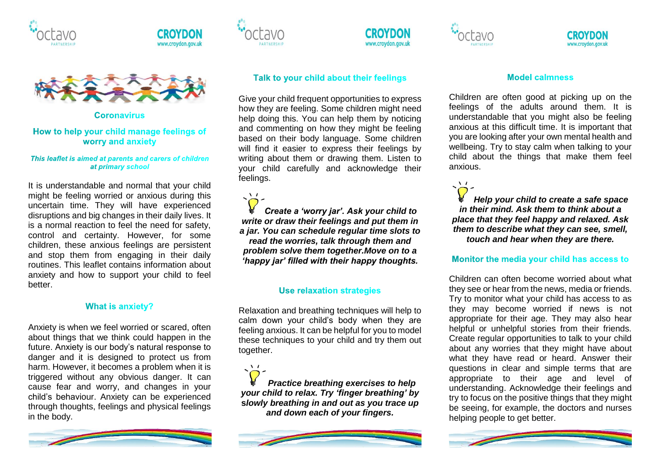





**Coronavirus** 

# How to help your child manage feelings of worry and anxiety

#### This leaflet is aimed at parents and carers of children at primary school

It is understandable and normal that your child might be feeling worried or anxious during this uncertain time. They will have experienced disruptions and big changes in their daily lives. It is a normal reaction to feel the need for safety, control and certainty. However, for some children, these anxious feelings are persistent and stop them from engaging in their daily routines. This leaflet contains information about anxiety and how to support your child to feel better.

# **What is anxiety?**

Anxiety is when we feel worried or scared, often about things that we think could happen in the future. Anxiety is our body's natural response to danger and it is designed to protect us from harm. However, it becomes a problem when it is triggered without any obvious danger. It can cause fear and worry, and changes in your child's behaviour. Anxiety can be experienced through thoughts, feelings and physical feelings in the body.





 $\mathcal{N}$ 





Give your child frequent opportunities to express how they are feeling. Some children might need help doing this. You can help them by noticing and commenting on how they might be feeling based on their body language. Some children will find it easier to express their feelings by writing about them or drawing them. Listen to your child carefully and acknowledge their feelings.

*Create a 'worry jar'. Ask your child to write or draw their feelings and put them in a jar. You can schedule regular time slots to read the worries, talk through them and problem solve them together.Move on to a 'happy jar' filled with their happy thoughts.* 

# **Use relaxation strategies**

Relaxation and breathing techniques will help to calm down your child's body when they are feeling anxious. It can be helpful for you to model these techniques to your child and try them out together.

*Practice breathing exercises to help your child to relax. Try 'finger breathing' by* **s***lowly breathing in and out as you trace up and down each of your fingers.* 



## **Model calmness**

Children are often good at picking up on the feelings of the adults around them. It is understandable that you might also be feeling anxious at this difficult time. It is important that you are looking after your own mental health and wellbeing. Try to stay calm when talking to your child about the things that make them feel anxious.

*[H](https://www.google.co.uk/url?sa=i&url=http://clipart-library.com/light-bulb-picture-cartoon.html&psig=AOvVaw0va4BaeTnzAdBOjqbTp5HS&ust=1586586340784000&source=images&cd=vfe&ved=0CAIQjRxqFwoTCJj50u2c3egCFQAAAAAdAAAAABAD)elp your child to create a safe space in their mind. Ask them to think about a place that they feel happy and relaxed. Ask them to describe what they can see, smell, touch and hear when they are there.*

 $\sqrt{1}$ 

Monitor the media your child has access to

Children can often become worried about what they see or hear from the news, media or friends. Try to monitor what your child has access to as they may become worried if news is not appropriate for their age. They may also hear helpful or unhelpful stories from their friends. Create regular opportunities to talk to your child about any worries that they might have about what they have read or heard. Answer their questions in clear and simple terms that are appropriate to their age and level of understanding. Acknowledge their feelings and try to focus on the positive things that they might be seeing, for example, the doctors and nurses helping people to get better.